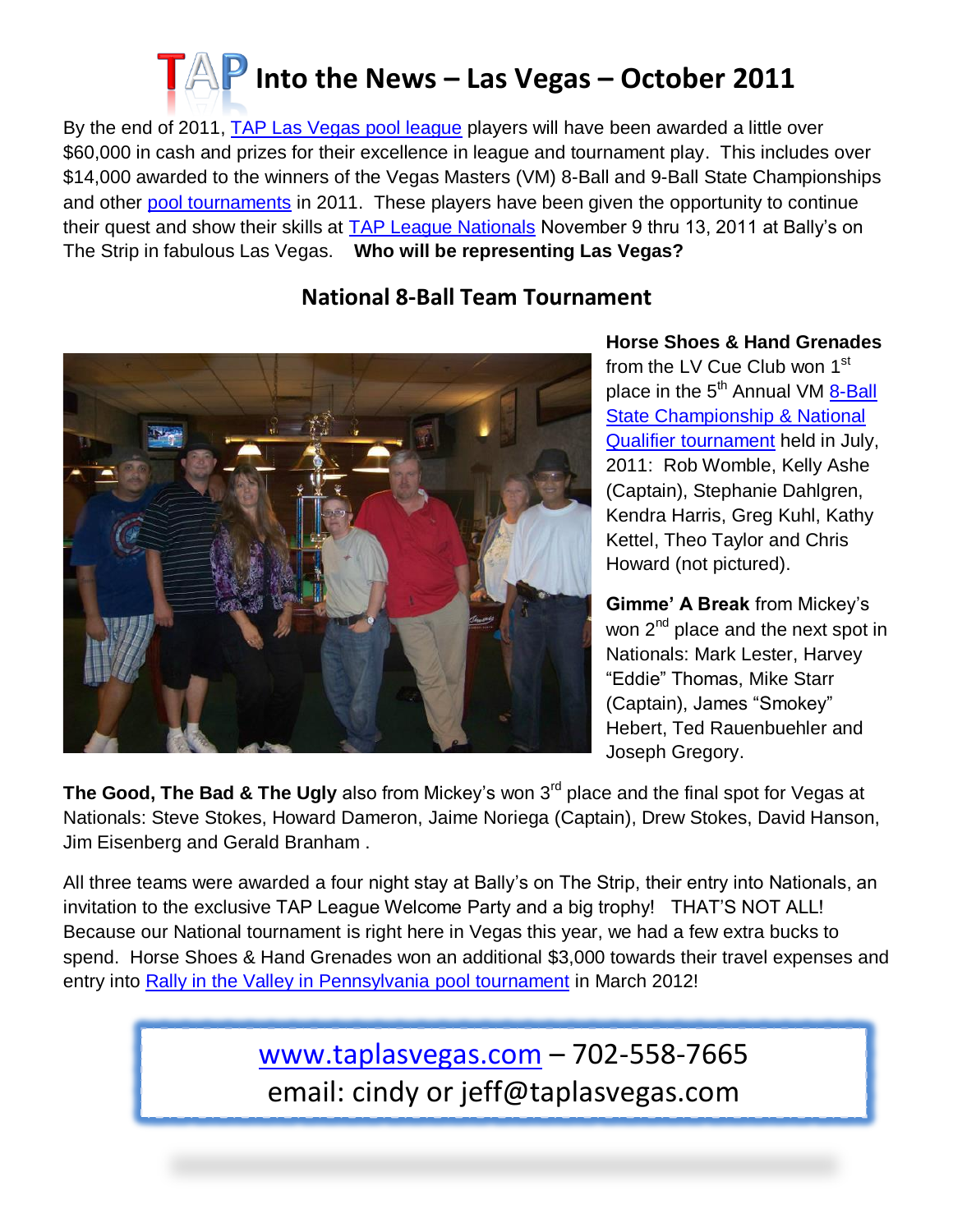

By the end of 2011, [TAP Las Vegas pool league](http://www.taplasvegas.com/) players will have been awarded a little over \$60,000 in cash and prizes for their excellence in league and tournament play. This includes over \$14,000 awarded to the winners of the Vegas Masters (VM) 8-Ball and 9-Ball State Championships and other [pool tournaments](http://taplasvegas.com/tournaments.html) in 2011. These players have been given the opportunity to continue their quest and show their skills at [TAP League Nationals](http://taplasvegas.com/tournaments.html#nationals) November 9 thru 13, 2011 at Bally's on The Strip in fabulous Las Vegas. **Who will be representing Las Vegas?** 

## **National 8-Ball Team Tournament**



## **Horse Shoes & Hand Grenades** from the LV Cue Club won 1<sup>st</sup> place in the 5<sup>th</sup> Annual VM 8-Ball [State Championship](http://taplasvegas.com/vegas_Masters2012.html) & National Qualifier [tournament](http://taplasvegas.com/vegas_Masters2012.html) held in July, 2011: Rob Womble, Kelly Ashe (Captain), Stephanie Dahlgren, Kendra Harris, Greg Kuhl, Kathy Kettel, Theo Taylor and Chris Howard (not pictured).

**Gimme' A Break** from Mickey's won 2<sup>nd</sup> place and the next spot in Nationals: Mark Lester, Harvey "Eddie" Thomas, Mike Starr (Captain), James "Smokey" Hebert, Ted Rauenbuehler and Joseph Gregory.

**The Good, The Bad & The Ugly** also from Mickey's won 3<sup>rd</sup> place and the final spot for Vegas at Nationals: Steve Stokes, Howard Dameron, Jaime Noriega (Captain), Drew Stokes, David Hanson, Jim Eisenberg and Gerald Branham .

All three teams were awarded a four night stay at Bally's on The Strip, their entry into Nationals, an invitation to the exclusive TAP League Welcome Party and a big trophy! THAT'S NOT ALL! Because our National tournament is right here in Vegas this year, we had a few extra bucks to spend. Horse Shoes & Hand Grenades won an additional \$3,000 towards their travel expenses and entry into [Rally in the Valley in Pennsylvania pool tournament](http://taplasvegas.com/tournaments.html#rally) in March 2012!

> [www.taplasvegas.com](http://www.taplasvegas.com/) – 702-558-7665 email: cindy or jeff@taplasvegas.com